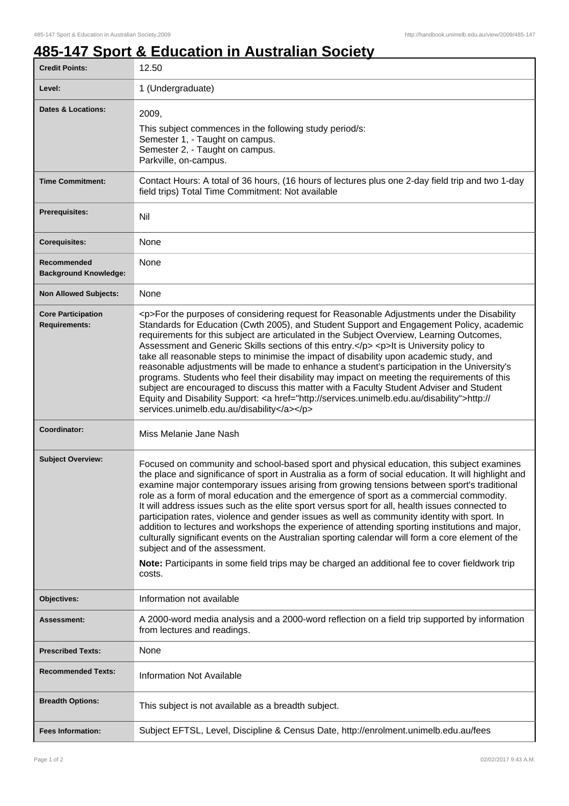٦

## **485-147 Sport & Education in Australian Society**

| <b>Credit Points:</b>                             | 12.50                                                                                                                                                                                                                                                                                                                                                                                                                                                                                                                                                                                                                                                                                                                                                                                                                                                                                                                                                  |
|---------------------------------------------------|--------------------------------------------------------------------------------------------------------------------------------------------------------------------------------------------------------------------------------------------------------------------------------------------------------------------------------------------------------------------------------------------------------------------------------------------------------------------------------------------------------------------------------------------------------------------------------------------------------------------------------------------------------------------------------------------------------------------------------------------------------------------------------------------------------------------------------------------------------------------------------------------------------------------------------------------------------|
| Level:                                            | 1 (Undergraduate)                                                                                                                                                                                                                                                                                                                                                                                                                                                                                                                                                                                                                                                                                                                                                                                                                                                                                                                                      |
| <b>Dates &amp; Locations:</b>                     | 2009,<br>This subject commences in the following study period/s:<br>Semester 1, - Taught on campus.<br>Semester 2, - Taught on campus.<br>Parkville, on-campus.                                                                                                                                                                                                                                                                                                                                                                                                                                                                                                                                                                                                                                                                                                                                                                                        |
| <b>Time Commitment:</b>                           | Contact Hours: A total of 36 hours, (16 hours of lectures plus one 2-day field trip and two 1-day<br>field trips) Total Time Commitment: Not available                                                                                                                                                                                                                                                                                                                                                                                                                                                                                                                                                                                                                                                                                                                                                                                                 |
| <b>Prerequisites:</b>                             | Nil                                                                                                                                                                                                                                                                                                                                                                                                                                                                                                                                                                                                                                                                                                                                                                                                                                                                                                                                                    |
| <b>Corequisites:</b>                              | None                                                                                                                                                                                                                                                                                                                                                                                                                                                                                                                                                                                                                                                                                                                                                                                                                                                                                                                                                   |
| Recommended<br><b>Background Knowledge:</b>       | None                                                                                                                                                                                                                                                                                                                                                                                                                                                                                                                                                                                                                                                                                                                                                                                                                                                                                                                                                   |
| <b>Non Allowed Subjects:</b>                      | None                                                                                                                                                                                                                                                                                                                                                                                                                                                                                                                                                                                                                                                                                                                                                                                                                                                                                                                                                   |
| <b>Core Participation</b><br><b>Requirements:</b> | <p>For the purposes of considering request for Reasonable Adjustments under the Disability<br/>Standards for Education (Cwth 2005), and Student Support and Engagement Policy, academic<br/>requirements for this subject are articulated in the Subject Overview, Learning Outcomes,<br/>Assessment and Generic Skills sections of this entry.</p> <p>lt is University policy to<br/>take all reasonable steps to minimise the impact of disability upon academic study, and<br/>reasonable adjustments will be made to enhance a student's participation in the University's<br/>programs. Students who feel their disability may impact on meeting the requirements of this<br/>subject are encouraged to discuss this matter with a Faculty Student Adviser and Student<br/>Equity and Disability Support: <a href="http://services.unimelb.edu.au/disability">http://<br/>services.unimelb.edu.au/disability</a></p>                              |
| Coordinator:                                      | Miss Melanie Jane Nash                                                                                                                                                                                                                                                                                                                                                                                                                                                                                                                                                                                                                                                                                                                                                                                                                                                                                                                                 |
| <b>Subject Overview:</b>                          | Focused on community and school-based sport and physical education, this subject examines<br>the place and significance of sport in Australia as a form of social education. It will highlight and<br>examine major contemporary issues arising from growing tensions between sport's traditional<br>role as a form of moral education and the emergence of sport as a commercial commodity.<br>It will address issues such as the elite sport versus sport for all, health issues connected to<br>participation rates, violence and gender issues as well as community identity with sport. In<br>addition to lectures and workshops the experience of attending sporting institutions and major,<br>culturally significant events on the Australian sporting calendar will form a core element of the<br>subject and of the assessment.<br>Note: Participants in some field trips may be charged an additional fee to cover fieldwork trip<br>costs. |
| Objectives:                                       | Information not available                                                                                                                                                                                                                                                                                                                                                                                                                                                                                                                                                                                                                                                                                                                                                                                                                                                                                                                              |
| Assessment:                                       | A 2000-word media analysis and a 2000-word reflection on a field trip supported by information<br>from lectures and readings.                                                                                                                                                                                                                                                                                                                                                                                                                                                                                                                                                                                                                                                                                                                                                                                                                          |
| <b>Prescribed Texts:</b>                          | None                                                                                                                                                                                                                                                                                                                                                                                                                                                                                                                                                                                                                                                                                                                                                                                                                                                                                                                                                   |
| <b>Recommended Texts:</b>                         | <b>Information Not Available</b>                                                                                                                                                                                                                                                                                                                                                                                                                                                                                                                                                                                                                                                                                                                                                                                                                                                                                                                       |
| <b>Breadth Options:</b>                           | This subject is not available as a breadth subject.                                                                                                                                                                                                                                                                                                                                                                                                                                                                                                                                                                                                                                                                                                                                                                                                                                                                                                    |
| <b>Fees Information:</b>                          | Subject EFTSL, Level, Discipline & Census Date, http://enrolment.unimelb.edu.au/fees                                                                                                                                                                                                                                                                                                                                                                                                                                                                                                                                                                                                                                                                                                                                                                                                                                                                   |